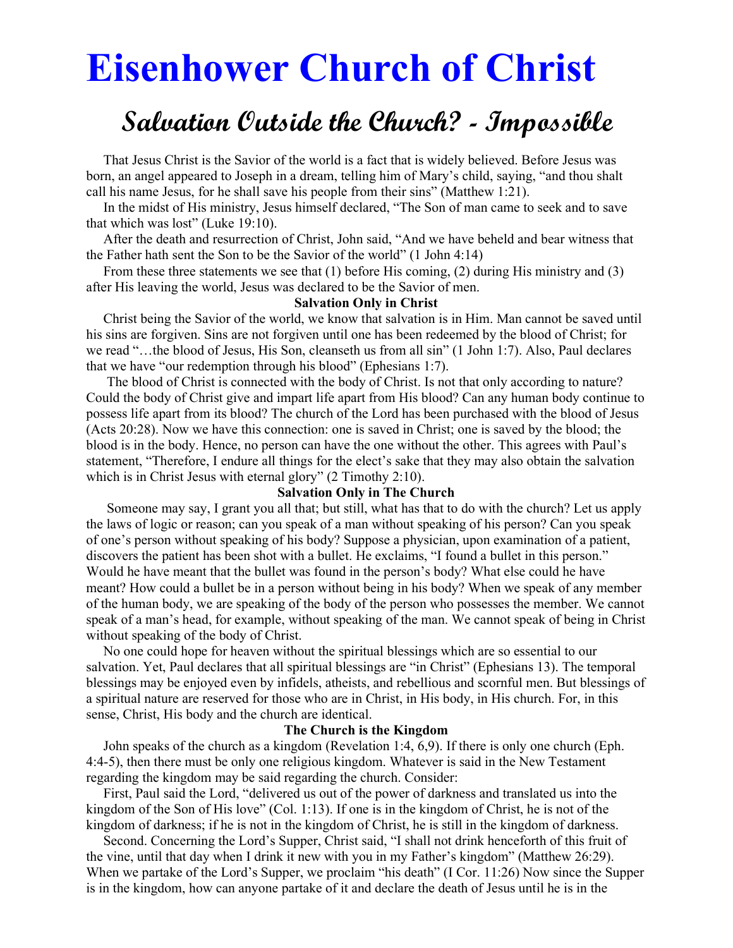# Eisenhower Church of Christ

# Salvation Outside the Church? - Impossible

 That Jesus Christ is the Savior of the world is a fact that is widely believed. Before Jesus was born, an angel appeared to Joseph in a dream, telling him of Mary's child, saying, "and thou shalt call his name Jesus, for he shall save his people from their sins" (Matthew 1:21).

 In the midst of His ministry, Jesus himself declared, "The Son of man came to seek and to save that which was lost" (Luke 19:10).

 After the death and resurrection of Christ, John said, "And we have beheld and bear witness that the Father hath sent the Son to be the Savior of the world" (1 John 4:14)

 From these three statements we see that (1) before His coming, (2) during His ministry and (3) after His leaving the world, Jesus was declared to be the Savior of men.

#### Salvation Only in Christ

 Christ being the Savior of the world, we know that salvation is in Him. Man cannot be saved until his sins are forgiven. Sins are not forgiven until one has been redeemed by the blood of Christ; for we read "…the blood of Jesus, His Son, cleanseth us from all sin" (1 John 1:7). Also, Paul declares that we have "our redemption through his blood" (Ephesians 1:7).

 The blood of Christ is connected with the body of Christ. Is not that only according to nature? Could the body of Christ give and impart life apart from His blood? Can any human body continue to possess life apart from its blood? The church of the Lord has been purchased with the blood of Jesus (Acts 20:28). Now we have this connection: one is saved in Christ; one is saved by the blood; the blood is in the body. Hence, no person can have the one without the other. This agrees with Paul's statement, "Therefore, I endure all things for the elect's sake that they may also obtain the salvation which is in Christ Jesus with eternal glory" (2 Timothy 2:10).

#### Salvation Only in The Church

 Someone may say, I grant you all that; but still, what has that to do with the church? Let us apply the laws of logic or reason; can you speak of a man without speaking of his person? Can you speak of one's person without speaking of his body? Suppose a physician, upon examination of a patient, discovers the patient has been shot with a bullet. He exclaims, "I found a bullet in this person." Would he have meant that the bullet was found in the person's body? What else could he have meant? How could a bullet be in a person without being in his body? When we speak of any member of the human body, we are speaking of the body of the person who possesses the member. We cannot speak of a man's head, for example, without speaking of the man. We cannot speak of being in Christ without speaking of the body of Christ.

 No one could hope for heaven without the spiritual blessings which are so essential to our salvation. Yet, Paul declares that all spiritual blessings are "in Christ" (Ephesians 13). The temporal blessings may be enjoyed even by infidels, atheists, and rebellious and scornful men. But blessings of a spiritual nature are reserved for those who are in Christ, in His body, in His church. For, in this sense, Christ, His body and the church are identical.

#### The Church is the Kingdom

 John speaks of the church as a kingdom (Revelation 1:4, 6,9). If there is only one church (Eph. 4:4-5), then there must be only one religious kingdom. Whatever is said in the New Testament regarding the kingdom may be said regarding the church. Consider:

 First, Paul said the Lord, "delivered us out of the power of darkness and translated us into the kingdom of the Son of His love" (Col. 1:13). If one is in the kingdom of Christ, he is not of the kingdom of darkness; if he is not in the kingdom of Christ, he is still in the kingdom of darkness.

 Second. Concerning the Lord's Supper, Christ said, "I shall not drink henceforth of this fruit of the vine, until that day when I drink it new with you in my Father's kingdom" (Matthew 26:29). When we partake of the Lord's Supper, we proclaim "his death" (I Cor. 11:26) Now since the Supper is in the kingdom, how can anyone partake of it and declare the death of Jesus until he is in the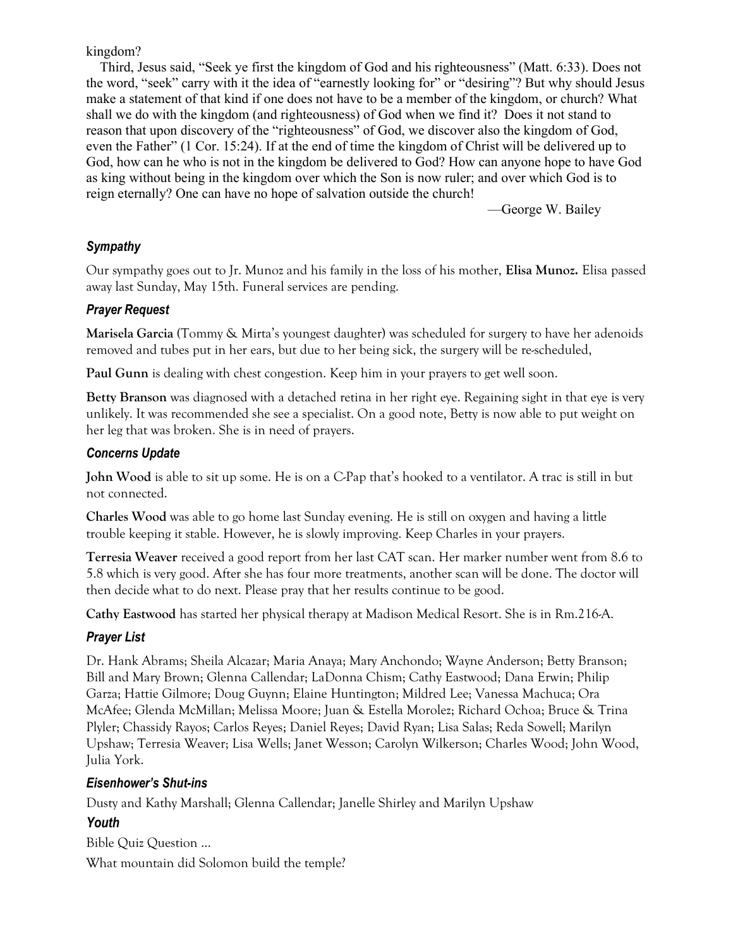#### kingdom?

 Third, Jesus said, "Seek ye first the kingdom of God and his righteousness" (Matt. 6:33). Does not the word, "seek" carry with it the idea of "earnestly looking for" or "desiring"? But why should Jesus make a statement of that kind if one does not have to be a member of the kingdom, or church? What shall we do with the kingdom (and righteousness) of God when we find it? Does it not stand to reason that upon discovery of the "righteousness" of God, we discover also the kingdom of God, even the Father" (1 Cor. 15:24). If at the end of time the kingdom of Christ will be delivered up to God, how can he who is not in the kingdom be delivered to God? How can anyone hope to have God as king without being in the kingdom over which the Son is now ruler; and over which God is to reign eternally? One can have no hope of salvation outside the church!

—George W. Bailey

# Sympathy

Our sympathy goes out to Jr. Munoz and his family in the loss of his mother, Elisa Munoz. Elisa passed away last Sunday, May 15th. Funeral services are pending.

# Prayer Request

Marisela Garcia (Tommy & Mirta's youngest daughter) was scheduled for surgery to have her adenoids removed and tubes put in her ears, but due to her being sick, the surgery will be re-scheduled,

Paul Gunn is dealing with chest congestion. Keep him in your prayers to get well soon.

Betty Branson was diagnosed with a detached retina in her right eye. Regaining sight in that eye is very unlikely. It was recommended she see a specialist. On a good note, Betty is now able to put weight on her leg that was broken. She is in need of prayers.

# Concerns Update

John Wood is able to sit up some. He is on a C-Pap that's hooked to a ventilator. A trac is still in but not connected.

Charles Wood was able to go home last Sunday evening. He is still on oxygen and having a little trouble keeping it stable. However, he is slowly improving. Keep Charles in your prayers.

Terresia Weaver received a good report from her last CAT scan. Her marker number went from 8.6 to 5.8 which is very good. After she has four more treatments, another scan will be done. The doctor will then decide what to do next. Please pray that her results continue to be good.

Cathy Eastwood has started her physical therapy at Madison Medical Resort. She is in Rm.216-A.

# Prayer List

Dr. Hank Abrams; Sheila Alcazar; Maria Anaya; Mary Anchondo; Wayne Anderson; Betty Branson; Bill and Mary Brown; Glenna Callendar; LaDonna Chism; Cathy Eastwood; Dana Erwin; Philip Garza; Hattie Gilmore; Doug Guynn; Elaine Huntington; Mildred Lee; Vanessa Machuca; Ora McAfee; Glenda McMillan; Melissa Moore; Juan & Estella Morolez; Richard Ochoa; Bruce & Trina Plyler; Chassidy Rayos; Carlos Reyes; Daniel Reyes; David Ryan; Lisa Salas; Reda Sowell; Marilyn Upshaw; Terresia Weaver; Lisa Wells; Janet Wesson; Carolyn Wilkerson; Charles Wood; John Wood, Julia York.

# Eisenhower's Shut-ins

Dusty and Kathy Marshall; Glenna Callendar; Janelle Shirley and Marilyn Upshaw

# Youth

Bible Quiz Question … What mountain did Solomon build the temple?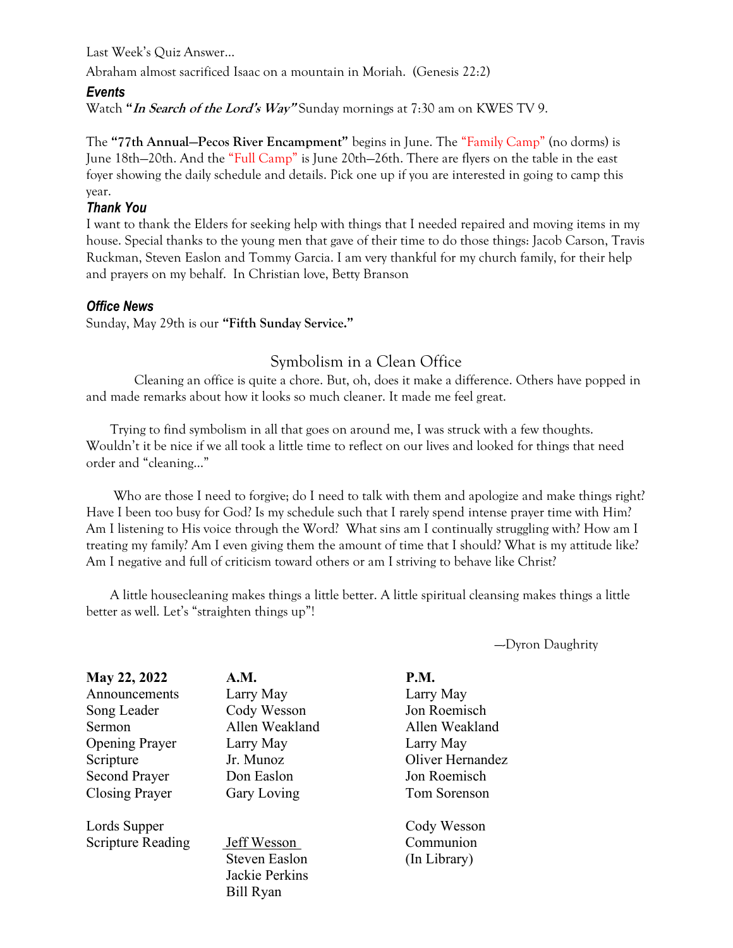Last Week's Quiz Answer…

Abraham almost sacrificed Isaac on a mountain in Moriah. (Genesis 22:2)

#### Events

Watch "In Search of the Lord's Way" Sunday mornings at 7:30 am on KWES TV 9.

The "77th Annual—Pecos River Encampment" begins in June. The "Family Camp" (no dorms) is June 18th—20th. And the "Full Camp" is June 20th—26th. There are flyers on the table in the east foyer showing the daily schedule and details. Pick one up if you are interested in going to camp this year.

#### Thank You

I want to thank the Elders for seeking help with things that I needed repaired and moving items in my house. Special thanks to the young men that gave of their time to do those things: Jacob Carson, Travis Ruckman, Steven Easlon and Tommy Garcia. I am very thankful for my church family, for their help and prayers on my behalf. In Christian love, Betty Branson

#### Office News

Sunday, May 29th is our "Fifth Sunday Service."

# Symbolism in a Clean Office

 Cleaning an office is quite a chore. But, oh, does it make a difference. Others have popped in and made remarks about how it looks so much cleaner. It made me feel great.

 Trying to find symbolism in all that goes on around me, I was struck with a few thoughts. Wouldn't it be nice if we all took a little time to reflect on our lives and looked for things that need order and "cleaning…"

Who are those I need to forgive; do I need to talk with them and apologize and make things right? Have I been too busy for God? Is my schedule such that I rarely spend intense prayer time with Him? Am I listening to His voice through the Word? What sins am I continually struggling with? How am I treating my family? Am I even giving them the amount of time that I should? What is my attitude like? Am I negative and full of criticism toward others or am I striving to behave like Christ?

 A little housecleaning makes things a little better. A little spiritual cleansing makes things a little better as well. Let's "straighten things up"!

—-Dyron Daughrity

| May 22, 2022             | A.M.                 | <b>P.M.</b>      |
|--------------------------|----------------------|------------------|
| Announcements            | Larry May            | Larry May        |
| Song Leader              | Cody Wesson          | Jon Roemisch     |
| Sermon                   | Allen Weakland       | Allen Weakland   |
| <b>Opening Prayer</b>    | Larry May            | Larry May        |
| Scripture                | Jr. Munoz            | Oliver Hernandez |
| <b>Second Prayer</b>     | Don Easlon           | Jon Roemisch     |
| <b>Closing Prayer</b>    | Gary Loving          | Tom Sorenson     |
| Lords Supper             |                      | Cody Wesson      |
| <b>Scripture Reading</b> | Jeff Wesson          | Communion        |
|                          | <b>Steven Easlon</b> | (In Library)     |
|                          | Jackie Perkins       |                  |
|                          | <b>Bill Ryan</b>     |                  |